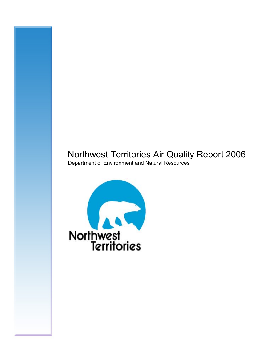# Northwest Territories Air Quality Report 2006

Department of Environment and Natural Resources

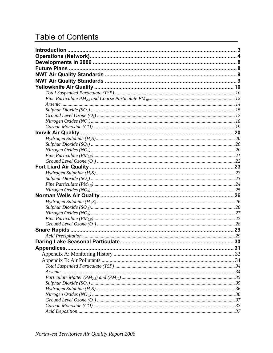# **Table of Contents**

| Appendices |  |
|------------|--|
|            |  |
|            |  |
|            |  |
|            |  |
|            |  |
|            |  |
|            |  |
|            |  |
|            |  |
|            |  |
|            |  |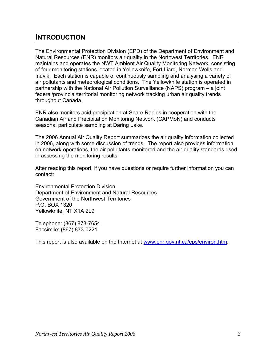### <span id="page-2-0"></span>**INTRODUCTION**

The Environmental Protection Division (EPD) of the Department of Environment and Natural Resources (ENR) monitors air quality in the Northwest Territories. ENR maintains and operates the NWT Ambient Air Quality Monitoring Network, consisting of four monitoring stations located in Yellowknife, Fort Liard, Norman Wells and Inuvik. Each station is capable of continuously sampling and analysing a variety of air pollutants and meteorological conditions. The Yellowknife station is operated in partnership with the National Air Pollution Surveillance (NAPS) program – a joint federal/provincial/territorial monitoring network tracking urban air quality trends throughout Canada.

ENR also monitors acid precipitation at Snare Rapids in cooperation with the Canadian Air and Precipitation Monitoring Network (CAPMoN) and conducts seasonal particulate sampling at Daring Lake.

The 2006 Annual Air Quality Report summarizes the air quality information collected in 2006, along with some discussion of trends. The report also provides information on network operations, the air pollutants monitored and the air quality standards used in assessing the monitoring results.

After reading this report, if you have questions or require further information you can contact:

Environmental Protection Division Department of Environment and Natural Resources Government of the Northwest Territories P.O. BOX 1320 Yellowknife, NT X1A 2L9

Telephone: (867) 873-7654 Facsimile: (867) 873-0221

This report is also available on the Internet at [www.enr.gov.nt.ca/eps/environ.htm](http://www.enr.gov.nt.ca/eps/environ.htm).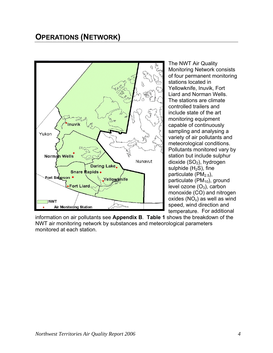### <span id="page-3-0"></span>**OPERATIONS (NETWORK)**



The NWT Air Quality Monitoring Network consists of four permanent monitoring stations located in Yellowknife, Inuvik, Fort Liard and Norman Wells. The stations are climate controlled trailers and include state of the art monitoring equipment capable of continuously sampling and analysing a variety of air pollutants and meteorological conditions. Pollutants monitored vary by station but include sulphur dioxide  $(SO<sub>2</sub>)$ , hydrogen sulphide  $(H<sub>2</sub>S)$ , fine particulate ( $PM<sub>2.5</sub>$ ), particulate  $(PM_{10})$ , ground level ozone  $(O_3)$ , carbon monoxide (CO) and nitrogen oxides  $(NO_x)$  as well as wind speed, wind direction and temperature. For additional

information on air pollutants see **Appendix B**. **Table 1** shows the breakdown of the NWT air monitoring network by substances and meteorological parameters monitored at each station.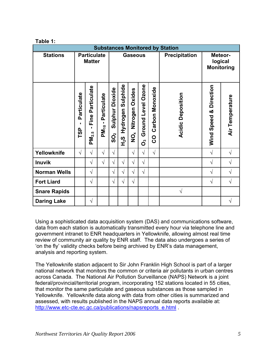| <b>Substances Monitored by Station</b> |                                     |                                          |                                                   |                                          |                                     |                                         |                         |                      |                                         |                        |                 |
|----------------------------------------|-------------------------------------|------------------------------------------|---------------------------------------------------|------------------------------------------|-------------------------------------|-----------------------------------------|-------------------------|----------------------|-----------------------------------------|------------------------|-----------------|
| <b>Stations</b>                        | <b>Particulate</b><br><b>Matter</b> |                                          | <b>Gaseous</b>                                    |                                          |                                     |                                         |                         | Precipitation        | Meteor-<br>logical<br><b>Monitoring</b> |                        |                 |
|                                        |                                     |                                          |                                                   |                                          |                                     |                                         |                         |                      |                                         |                        |                 |
|                                        | Particulate<br><b>CSL</b>           | Particulate<br>Fine<br>PM <sub>2.5</sub> | Particulate<br>$\blacksquare$<br>PM <sub>10</sub> | Dioxide<br>Sulphur<br>$\mathbf{\hat{S}}$ | Sulphide<br>Hydrogen<br>$F_{2}^{2}$ | Nitrogen Oxides<br>$\check{\mathbf{Q}}$ | Ground Level Ozone<br>ő | Carbon Monoxide<br>8 | <b>Acidic Deposition</b>                | Wind Speed & Direction | Air Temperature |
| Yellowknife                            | $\sqrt{}$                           | $\sqrt{}$                                | $\sqrt{}$                                         | $\sqrt{ }$                               |                                     | $\sqrt{ }$                              | $\sqrt{}$               | $\sqrt{ }$           |                                         | $\sqrt{ }$             | $\sqrt{ }$      |
| <b>Inuvik</b>                          |                                     | $\sqrt{}$                                | $\sqrt{}$                                         | V                                        | $\sqrt{ }$                          | $\sqrt{ }$                              | $\sqrt{}$               |                      |                                         | $\sqrt{ }$             | $\sqrt{}$       |
| <b>Norman Wells</b>                    |                                     | $\sqrt{ }$                               |                                                   | $\sqrt{ }$                               | $\sqrt{}$                           | $\sqrt{}$                               | $\sqrt{}$               |                      |                                         | $\sqrt{ }$             | $\sqrt{ }$      |
| <b>Fort Liard</b>                      |                                     | $\sqrt{ }$                               |                                                   | $\sqrt{}$                                | $\sqrt{ }$                          | $\sqrt{ }$                              |                         |                      |                                         | $\sqrt{ }$             | $\sqrt{2}$      |
| <b>Snare Rapids</b>                    |                                     |                                          |                                                   |                                          |                                     |                                         |                         |                      | $\sqrt{}$                               |                        |                 |
| <b>Daring Lake</b>                     |                                     | $\sqrt{}$                                |                                                   |                                          |                                     |                                         |                         |                      |                                         |                        | V               |

Using a sophisticated data acquisition system (DAS) and communications software, data from each station is automatically transmitted every hour via telephone line and government intranet to ENR headquarters in Yellowknife, allowing almost real time review of community air quality by ENR staff. The data also undergoes a series of 'on the fly' validity checks before being archived by ENR's data management, analysis and reporting system.

The Yellowknife station adjacent to Sir John Franklin High School is part of a larger national network that monitors the common or criteria air pollutants in urban centres across Canada. The National Air Pollution Surveillance (NAPS) Network is a joint federal/provincial/territorial program, incorporating 152 stations located in 55 cities, that monitor the same particulate and gaseous substances as those sampled in Yellowknife. Yellowknife data along with data from other cities is summarized and assessed, with results published in the NAPS annual data reports available at: [http://www.etc-cte.ec.gc.ca/publications/napsreports\\_e.html](http://www.etc-cte.ec.gc.ca/publications/napsreports_e.html) .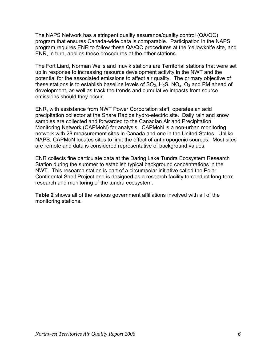The NAPS Network has a stringent quality assurance/quality control (QA/QC) program that ensures Canada-wide data is comparable. Participation in the NAPS program requires ENR to follow these QA/QC procedures at the Yellowknife site, and ENR, in turn, applies these procedures at the other stations.

The Fort Liard, Norman Wells and Inuvik stations are Territorial stations that were set up in response to increasing resource development activity in the NWT and the potential for the associated emissions to affect air quality. The primary objective of these stations is to establish baseline levels of  $SO_2$ ,  $H_2S$ ,  $NO_x$ ,  $O_3$  and PM ahead of development, as well as track the trends and cumulative impacts from source emissions should they occur.

ENR, with assistance from NWT Power Corporation staff, operates an acid precipitation collector at the Snare Rapids hydro-electric site. Daily rain and snow samples are collected and forwarded to the Canadian Air and Precipitation Monitoring Network (CAPMoN) for analysis. CAPMoN is a non-urban monitoring network with 28 measurement sites in Canada and one in the United States. Unlike NAPS, CAPMoN locates sites to limit the effect of anthropogenic sources. Most sites are remote and data is considered representative of background values.

ENR collects fine particulate data at the Daring Lake Tundra Ecosystem Research Station during the summer to establish typical background concentrations in the NWT. This research station is part of a circumpolar initiative called the Polar Continental Shelf Project and is designed as a research facility to conduct long-term research and monitoring of the tundra ecosystem.

**Table 2** shows all of the various government affiliations involved with all of the monitoring stations.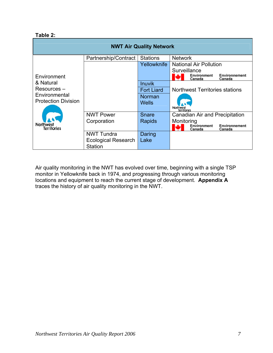#### **Table 2:**

| Environnement<br>Canada               |  |  |
|---------------------------------------|--|--|
|                                       |  |  |
| <b>Northwest Territories stations</b> |  |  |
|                                       |  |  |
| Canadian Air and Precipitation        |  |  |
|                                       |  |  |
| Environnement<br>Canada               |  |  |
|                                       |  |  |
|                                       |  |  |
|                                       |  |  |

Air quality monitoring in the NWT has evolved over time, beginning with a single TSP monitor in Yellowknife back in 1974, and progressing through various monitoring locations and equipment to reach the current stage of development. **Appendix A** traces the history of air quality monitoring in the NWT.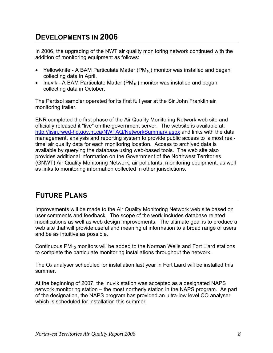### <span id="page-7-0"></span>**DEVELOPMENTS IN 2006**

In 2006, the upgrading of the NWT air quality monitoring network continued with the addition of monitoring equipment as follows:

- Yellowknife A BAM Particulate Matter ( $PM_{10}$ ) monitor was installed and began collecting data in April.
- Inuvik A BAM Particulate Matter  $(PM_{10})$  monitor was installed and began collecting data in October.

The Partisol sampler operated for its first full year at the Sir John Franklin air monitoring trailer.

ENR completed the first phase of the Air Quality Monitoring Network web site and officially released it "live" on the government server. The website is available at: <http://lisin.rwed-hq.gov.nt.ca/NWTAQ/NetworkSummary.aspx>and links with the data management, analysis and reporting system to provide public access to 'almost realtime' air quality data for each monitoring location. Access to archived data is available by querying the database using web-based tools. The web site also provides additional information on the Government of the Northwest Territories (GNWT) Air Quality Monitoring Network, air pollutants, monitoring equipment, as well as links to monitoring information collected in other jurisdictions.

### **FUTURE PLANS**

Improvements will be made to the Air Quality Monitoring Network web site based on user comments and feedback. The scope of the work includes database related modifications as well as web design improvements. The ultimate goal is to produce a web site that will provide useful and meaningful information to a broad range of users and be as intuitive as possible.

Continuous  $PM_{10}$  monitors will be added to the Norman Wells and Fort Liard stations to complete the particulate monitoring installations throughout the network.

The  $O_3$  analyser scheduled for installation last year in Fort Liard will be installed this summer.

At the beginning of 2007, the Inuvik station was accepted as a designated NAPS network monitoring station – the most northerly station in the NAPS program. As part of the designation, the NAPS program has provided an ultra-low level CO analyser which is scheduled for installation this summer.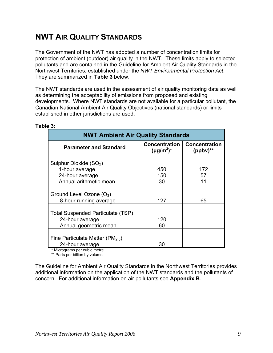### <span id="page-8-0"></span>**NWT AIR QUALITY STANDARDS**

The Government of the NWT has adopted a number of concentration limits for protection of ambient (outdoor) air quality in the NWT. These limits apply to selected pollutants and are contained in the Guideline for Ambient Air Quality Standards in the Northwest Territories, established under the *NWT Environmental Protection Act*. They are summarized in **Table 3** below.

The NWT standards are used in the assessment of air quality monitoring data as well as determining the acceptability of emissions from proposed and existing developments. Where NWT standards are not available for a particular pollutant, the Canadian National Ambient Air Quality Objectives (national standards) or limits established in other jurisdictions are used.

| <b>NWT Ambient Air Quality Standards</b>               |                                         |                                       |  |
|--------------------------------------------------------|-----------------------------------------|---------------------------------------|--|
| <b>Parameter and Standard</b>                          | <b>Concentration</b><br>$(\mu g/m^3)^*$ | <b>Concentration</b><br>$(ppbv)^{**}$ |  |
| Sulphur Dioxide (SO <sub>2</sub> )                     |                                         |                                       |  |
| 1-hour average                                         | 450                                     | 172                                   |  |
| 24-hour average                                        | 150                                     | 57                                    |  |
| Annual arithmetic mean                                 | 30                                      | 11                                    |  |
| Ground Level Ozone $(O_3)$<br>8-hour running average   | 127                                     | 65                                    |  |
| Total Suspended Particulate (TSP)                      |                                         |                                       |  |
| 24-hour average                                        | 120                                     |                                       |  |
| Annual geometric mean                                  | 60                                      |                                       |  |
| Fine Particulate Matter ( $PM2.5$ )<br>24-hour average | 30                                      |                                       |  |

#### **Table 3:**

\* Micrograms per cubic metre

\*\* Parts per billion by volume

The Guideline for Ambient Air Quality Standards in the Northwest Territories provides additional information on the application of the NWT standards and the pollutants of concern. For additional information on air pollutants see **Appendix B**.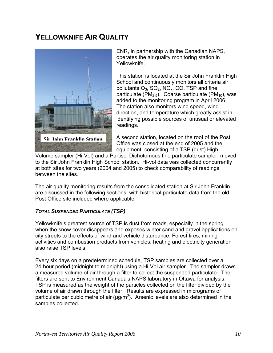## <span id="page-9-0"></span>**YELLOWKNIFE AIR QUALITY**



ENR, in partnership with the Canadian NAPS, operates the air quality monitoring station in Yellowknife.

This station is located at the Sir John Franklin High School and continuously monitors all criteria air pollutants  $O_3$ ,  $SO_2$ ,  $NO_x$ ,  $CO$ , TSP and fine particulate ( $PM_{2.5}$ ). Coarse particulate ( $PM_{10}$ ), was added to the monitoring program in April 2006. The station also monitors wind speed, wind direction, and temperature which greatly assist in identifying possible sources of unusual or elevated readings.

A second station, located on the roof of the Post Office was closed at the end of 2005 and the equipment, consisting of a TSP (dust) High

Volume sampler (Hi-Vol) and a Partisol Dichotomous fine particulate sampler, moved to the Sir John Franklin High School station. Hi-vol data was collected concurrently at both sites for two years (2004 and 2005) to check comparability of readings between the sites.

The air quality monitoring results from the consolidated station at Sir John Franklin are discussed in the following sections, with historical particulate data from the old Post Office site included where applicable.

#### *TOTAL SUSPENDED PARTICULATE (TSP)*

Yellowknife's greatest source of TSP is dust from roads, especially in the spring when the snow cover disappears and exposes winter sand and gravel applications on city streets to the effects of wind and vehicle disturbance. Forest fires, mining activities and combustion products from vehicles, heating and electricity generation also raise TSP levels.

Every six days on a predetermined schedule, TSP samples are collected over a 24-hour period (midnight to midnight) using a Hi-Vol air sampler. The sampler draws a measured volume of air through a filter to collect the suspended particulate. The filters are sent to Environment Canada's NAPS laboratory in Ottawa for analysis. TSP is measured as the weight of the particles collected on the filter divided by the volume of air drawn through the filter. Results are expressed in micrograms of particulate per cubic metre of air ( $\mu$ g/m<sup>3</sup>). Arsenic levels are also determined in the samples collected.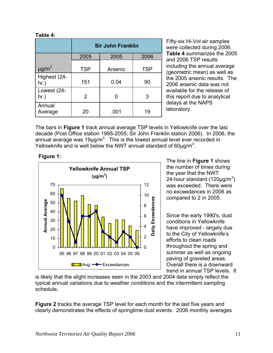#### **Table 4:**

|                        |            | <b>Sir John Franklin</b> |            |
|------------------------|------------|--------------------------|------------|
|                        | 2005       | 2005                     | 2006       |
| $\mu$ g/m <sup>3</sup> | <b>TSP</b> | Arsenic                  | <b>TSP</b> |
| Highest (24-<br>hr.)   | 151        | 0.04                     | 90         |
| Lowest (24-<br>hr.)    | 2          |                          | 3          |
| Annual<br>Average      | 20         | .001                     | 19         |

Fifty-six Hi-Vol air samples were collected during 2006. **Table 4** summarizes the 2005 and 2006 TSP results including the annual average (geometric mean) as well as the 2005 arsenic results. The 2006 arsenic data was not available for the release of this report due to analytical delays at the NAPS laboratory.

The bars in **Figure 1** track annual average TSP levels in Yellowknife over the last decade (Post Office station 1995-2005; Sir John Franklin station 2006). In 2006, the annual average was 19µg/m<sup>3</sup>. This is the lowest annual level ever recorded in Yellowknife and is well below the NWT annual standard of 60 $\mu$ g/m<sup>3</sup>.



**Figure 1:** The line in **Figure 1** shows the number of times during the year that the NWT 24-hour standard (120µg/m $3)$ was exceeded. There were no exceedances in 2006 as compared to 2 in 2005.

> Since the early 1990's, dust conditions in Yellowknife have improved - largely due to the City of Yellowknife's efforts to clean roads throughout the spring and summer as well as ongoing paving of graveled areas. Overall there is a downward trend in annual TSP levels. It

is likely that the slight increases seen in the 2003 and 2004 data simply reflect the typical annual variations due to weather conditions and the intermittent sampling schedule**.** 

**Figure 2** tracks the average TSP level for each month for the last five years and clearly demonstrates the effects of springtime dust events. 2006 monthly averages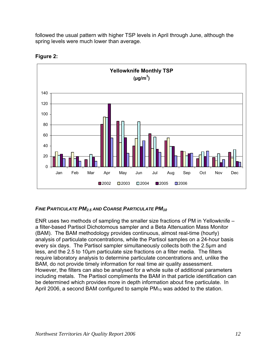<span id="page-11-0"></span>followed the usual pattern with higher TSP levels in April through June, although the spring levels were much lower than average.



#### **Figure 2:**

#### *FINE PARTICULATE PM2.5 AND COARSE PARTICULATE PM10*

ENR uses two methods of sampling the smaller size fractions of PM in Yellowknife – a filter-based Partisol Dichotomous sampler and a Beta Attenuation Mass Monitor (BAM). The BAM methodology provides continuous, almost real-time (hourly) analysis of particulate concentrations, while the Partisol samples on a 24-hour basis every six days. The Partisol sampler simultaneously collects both the 2.5µm and less, and the 2.5 to 10µm particulate size fractions on a filter media. The filters require laboratory analysis to determine particulate concentrations and, unlike the BAM, do not provide timely information for real time air quality assessment. However, the filters can also be analysed for a whole suite of additional parameters including metals. The Partisol compliments the BAM in that particle identification can be determined which provides more in depth information about fine particulate. In April 2006, a second BAM configured to sample  $PM_{10}$  was added to the station.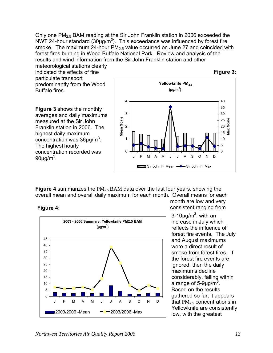Only one PM2.5 BAM reading at the Sir John Franklin station in 2006 exceeded the NWT 24-hour standard (30 $\mu$ g/m<sup>3</sup>). This exceedance was influenced by forest fire smoke. The maximum 24-hour  $PM<sub>2.5</sub>$  value occurred on June 27 and coincided with forest fires burning in Wood Buffalo National Park. Review and analysis of the results and wind information from the Sir John Franklin station and other

meteorological stations clearly indicated the effects of fine particulate transport predominantly from the Wood Buffalo fires.

**Figure 3:**

**Figure 3** shows the monthly averages and daily maximums measured at the Sir John Franklin station in 2006. The highest daily maximum concentration was  $36 \mu g/m^3$ . The highest hourly concentration recorded was 90μg/m $^3$ .



**Figure 4** summarizes the PM<sub>2.5</sub> BAM data over the last four years, showing the overall mean and overall daily maximum for each month. Overall means for each





month are low and very consistent ranging from

3-10 $\mu$ g/m<sup>3</sup>, with an increase in July which reflects the influence of forest fire events. The July and August maximums were a direct result of smoke from forest fires. If the forest fire events are ignored, then the daily maximums decline considerably, falling within a range of 5-9µg/m<sup>3</sup>. Based on the results gathered so far, it appears that  $PM<sub>2.5</sub>$  concentrations in Yellowknife are consistently low, with the greatest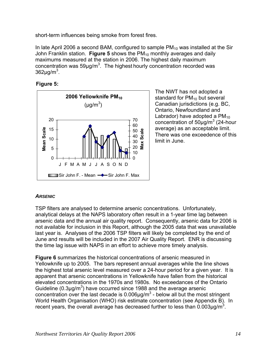<span id="page-13-0"></span>short-term influences being smoke from forest fires.

In late April 2006 a second BAM, configured to sample  $PM_{10}$  was installed at the Sir John Franklin station. **Figure 5** shows the PM<sub>10</sub> monthly averages and daily maximums measured at the station in 2006. The highest daily maximum concentration was  $59\mu g/m^3$ . The highest hourly concentration recorded was 362 $\mu$ g/m $^3$ .

**Figure 5:** 



The NWT has not adopted a standard for  $PM_{10}$  but several Canadian jurisdictions (e.g. BC, Ontario, Newfoundland and Labrador) have adopted a  $PM_{10}$ concentration of  $50 \mu g/m^3$  (24-hour average) as an acceptable limit. There was one exceedence of this limit in June.

#### *ARSENIC*

TSP filters are analysed to determine arsenic concentrations. Unfortunately, analytical delays at the NAPS laboratory often result in a 1-year time lag between arsenic data and the annual air quality report. Consequently, arsenic data for 2006 is not available for inclusion in this Report, although the 2005 data that was unavailable last year is. Analyses of the 2006 TSP filters will likely be completed by the end of June and results will be included in the 2007 Air Quality Report. ENR is discussing the time lag issue with NAPS in an effort to achieve more timely analysis.

**Figure 6** summarizes the historical concentrations of arsenic measured in Yellowknife up to 2005. The bars represent annual averages while the line shows the highest total arsenic level measured over a 24-hour period for a given year. It is apparent that arsenic concentrations in Yellowknife have fallen from the historical elevated concentrations in the 1970s and 1980s. No exceedances of the Ontario Guideline (0.3 $\mu$ g/m<sup>3</sup>) have occurred since 1988 and the average arsenic concentration over the last decade is  $0.006 \mu g/m<sup>3</sup>$  - below all but the most stringent World Health Organisation (WHO) risk estimate concentration (see Appendix B). In recent years, the overall average has decreased further to less than 0.003 $\mu$ g/m<sup>3</sup>.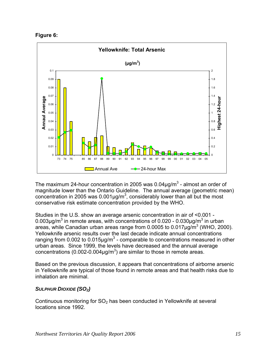<span id="page-14-0"></span>



The maximum 24-hour concentration in 2005 was 0.04 $\mu$ g/m<sup>3</sup> - almost an order of magnitude lower than the Ontario Guideline. The annual average (geometric mean) concentration in 2005 was 0.001 $\mu$ g/m<sup>3</sup>, considerably lower than all but the most conservative risk estimate concentration provided by the WHO.

Studies in the U.S. show an average arsenic concentration in air of <0.001 - 0.003 $\mu$ g/m<sup>3</sup> in remote areas, with concentrations of 0.020 - 0.030 $\mu$ g/m<sup>3</sup> in urban areas, while Canadian urban areas range from 0.0005 to 0.017 $\mu$ g/m $^3$  (WHO, 2000). Yellowknife arsenic results over the last decade indicate annual concentrations ranging from 0.002 to 0.015 $\mu$ g/m<sup>3</sup> - comparable to concentrations measured in other urban areas. Since 1999, the levels have decreased and the annual average concentrations (0.002-0.004 $\mu$ g/m<sup>3</sup>) are similar to those in remote areas.

Based on the previous discussion, it appears that concentrations of airborne arsenic in Yellowknife are typical of those found in remote areas and that health risks due to inhalation are minimal.

#### *SULPHUR DIOXIDE (SO2)*

Continuous monitoring for  $SO<sub>2</sub>$  has been conducted in Yellowknife at several locations since 1992.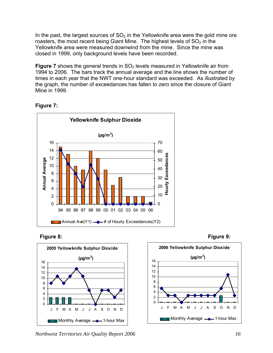In the past, the largest sources of  $SO<sub>2</sub>$  in the Yellowknife area were the gold mine ore roasters, the most recent being Giant Mine. The highest levels of  $SO<sub>2</sub>$  in the Yellowknife area were measured downwind from the mine. Since the mine was closed in 1999, only background levels have been recorded.

**Figure 7** shows the general trends in SO<sub>2</sub> levels measured in Yellowknife air from 1994 to 2006. The bars track the annual average and the line shows the number of times in each year that the NWT one-hour standard was exceeded. As illustrated by the graph, the number of exceedances has fallen to zero since the closure of Giant Mine in 1999.









*Northwest Territories Air Quality Report 2006 16*

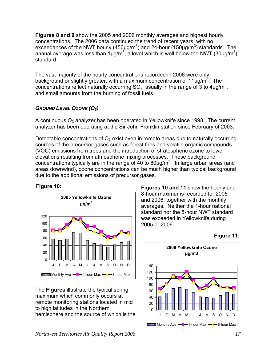<span id="page-16-0"></span>**Figures 8 and 9** show the 2005 and 2006 monthly averages and highest hourly concentrations. The 2006 data continued the trend of recent years, with no exceedances of the NWT hourly (450µg/m<sup>3</sup>) and 24-hour (150µg/m<sup>3</sup>) standards. The annual average was less than  $1\mu g/m^3$ , a level which is well below the NWT (30 $\mu$ g/m<sup>3</sup>) standard.

The vast majority of the hourly concentrations recorded in 2006 were only background or slightly greater, with a maximum concentration of 11 $\mu$ g/m<sup>3</sup>. The concentrations reflect naturally occurring  $SO_2$ , usually in the range of 3 to 4µg/m<sup>3</sup>, and small amounts from the burning of fossil fuels.

#### *GROUND LEVEL OZONE (O3)*

A continuous  $O_3$  analyzer has been operated in Yellowknife since 1998. The current analyzer has been operating at the Sir John Franklin station since February of 2003.

Detectable concentrations of  $O_3$  exist even in remote areas due to naturally occurring sources of the precursor gases such as forest fires and volatile organic compounds concentrations typically are in the range of 40 to 80 $\mu$ g/m<sup>3</sup>. In large urban areas (and areas downwind), ozone concentrations can be much higher than typical background (VOC) emissions from trees and the introduction of stratospheric ozone to lower elevations resulting from atmospheric mixing processes. These background due to the additional emissions of precursor gases.

#### **Figure 10:**



The **Figures** illustrate the typical spring maximum which commonly occurs at remote monitoring stations located in mid to high latitudes in the Northern hemisphere and the source of which is the **Figures 10 and 11** show the hourly and 8-hour maximums recorded for 2005 standard nor the 8-hour NWT standard and 2006, together with the monthly averages. Neither the 1-hour national was exceeded in Yellowknife during 2005 or 2006.



**Figure 11:**

*Northwest Territories Air Quality Report 2006 17*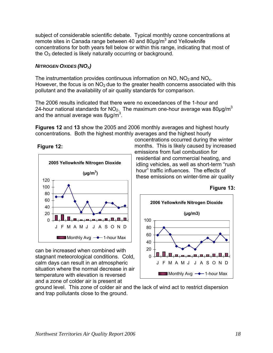<span id="page-17-0"></span>subject of considerable scientific debate. Typical monthly ozone concentrations at remote sites in Canada range between 40 and 80 $\mu$ g/m<sup>3</sup> and Yellowknife concentrations for both years fell below or within this range, indicating that most of the  $O_3$  detected is likely naturally occurring or background.

#### **NITROGEN OXIDES (NO<sub>X</sub>)**

The instrumentation provides continuous information on NO,  $NO<sub>2</sub>$  and NO<sub>x</sub>. However, the focus is on  $NO<sub>2</sub>$  due to the greater health concerns associated with this pollutant and the availability of air quality stand ards for comparison.

The 2006 results indicated that there were no exceedances of the 1-hour and 24-hour national standards for NO<sub>2.\_</sub> The maximum one-hour average was 80µg/m<sup>3</sup> and the annual average was 8 $\mu$ g/m $^3$ .

**Figures 12** and **13** show the 2005 and 2006 monthly averages and highest hourly concentrations. Both the highest monthly ave rages and the highest hourly





can be increased when combined with stagnant meteorological conditions. Cold, calm days can result in an atmospheric situation where the normal decrease in air temperature with elevation is reversed and a zone of colder air is present at

concentrations occurred during the winter months. This is likely caused by increased emis sions from fuel combustion for residential and commercial heating, and idling vehicles, as well as short-term "rush hour" traffic influences. The effects of thes e emissions on winter-time air quality





ground level. This zone of colder air and th e lack of wind act to restrict dispersion and trap pollutants close to the ground.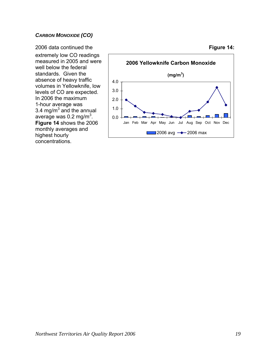#### <span id="page-18-0"></span>*CARBON MONOXIDE (CO)*

2006 data continued the extremely low CO readings measured in 2005 and were well below the federal standards. Given the absence of heavy traffic volumes in Yellowknife, low levels of CO are expected. In 2006 the maximum 1-hour average was 3.4 mg/ $m^3$  and the annual average was 0.2 mg/m $3$ . **Figure 14** shows the 2006 monthly averages and highest hourly concentrations.



#### **Figure 14:**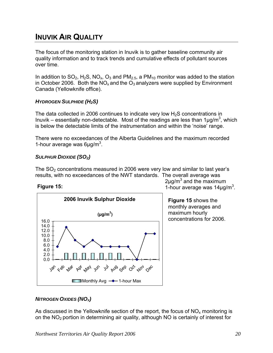### <span id="page-19-0"></span>**INUVIK AIR QUALITY**

The focus of the monitoring station in Inuvik is to gather baseline community air quality information and to track trends and cumulative effe cts of pollutant sources over time.

In addition to  $SO_2$ , H<sub>2</sub>S, NO<sub>x</sub>, O<sub>3</sub> and PM<sub>2.5</sub>, a PM<sub>10</sub> monitor was added to the station in October 2006. Both the NO<sub>x</sub> and the O<sub>3</sub> analyzers were supplied by Environment Canada (Yellowknife office).

#### *2S) HYDROGEN SULPHIDE (H*

The data collected in 2006 continues to indicate very low  $H_2S$  concentrations in Inuvik – essentially non-detectable. Most of the readings are less than 1 $\mu$ g/m<sup>3</sup>, which is below the detectable limits of the instrumentation and within the 'noise' range.

There were no exceedances of the Alberta Guidelines and the maximum recorded 1-hour average was  $6\mu$ g/m<sup>3</sup>.

#### SULPHUR DIOXIDE (SO<sub>2</sub>)

The  $SO<sub>2</sub>$  concentrations measured in 2006 were very low and similar to last year's results, with no exceedances of the NWT standards. The overall average was

#### **Figure 15:**



 $2\mu$ g/m<sup>3</sup> and the maximum 1-hour average was  $14 \mu g/m^3$ .

**Figure 15** shows the monthly averages and maximum hourly concentrations for 2006.

#### **NITROGEN OXIDES (NO<sub>X</sub>)**

As discussed in the Yellowknife section of the report, the focus of  $NO<sub>x</sub>$  monitoring is on the  $NO<sub>2</sub>$  portion in determining air quality, although NO is certainly of interest for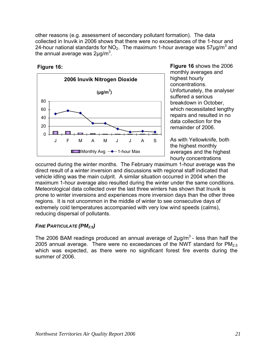<span id="page-20-0"></span>other reasons (e.g. assessme nt of secondary pollutant formation). The data collected in Inuvik in 2006 sho ws that there were no exceedances of the 1-hour and 24-hour national standards for  $NO<sub>2</sub>$ . The maximum 1-hour average was 57µg/m<sup>3</sup> and the annual average was 2 $\mu$ g/m<sup>3</sup>.





**Figure 16** shows the 2006 monthly averages and Unfortunately, the analyser suffered a serious breakdown in October, which necessitated lengthy repairs and resulted in no highest hourly concentrations. data collection for the remainder of 2006.

the highest monthly averages and the highest hourly concentrations As with Yellowknife, both

occurred during the winter months. The February maximum 1-hour average was the vehicle idling was the main culprit. A similar situation occurred in 2004 when the maximum 1-hour average also resulted during the winter under the same conditions. Meteorological data collected over the last three winter s has shown that Inuvik is prone to winter inversions and experiences more inversion days than the other three regions. It is not uncommon in the middle of winter to see consecutive days of extremely cold temperatures accompanied with very low wind speeds (calms), reducing dispersal of pollutants. direct result of a winter inversion and discussions with regional staff indicated that

#### *FINE PARTICULATE (PM2.5)*

The 2006 BAM readings produced an annual average of  $2\mu q/m^3$  - less than half the 2005 annual average. There were no exceedances of the NWT standard for  $PM<sub>2.5</sub>$ which was expected, as there were no significant forest fire events during the summer of 2006.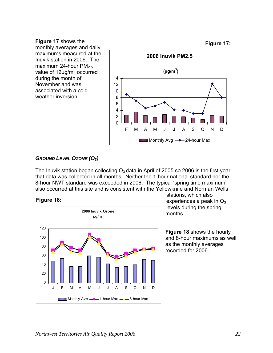**Figure 17** shows the monthly averages and daily maximums measured at the Inuvik station in 2006. The maximum 24-hour  $PM_{2.5}$ during the month of November and was associated with a cold weather inversion.

<span id="page-21-0"></span>

#### GROUND LEVEL OZONE (O<sub>3</sub>)

 that data was collected in all months. Neither the 1-hour national standard nor the The Inuvik station began collecting  $O_3$  data in April of 2005 so 2006 is the first year 8-hour NWT standard was exceeded in 2006. The typical 'spring time maximum' also occurred at this site and is consistent with the Yellowknife and Norman Wells





experiences a peak in  $\mathrm{O}_3$ months. stations, which also levels during the spring

**Figure 18** shows the hourly and 8-hour maximums as well as the monthly averages recorded for 2006.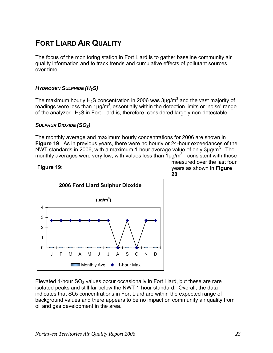### <span id="page-22-0"></span>**FORT LIARD AIR QUALITY**

The focus of the monitoring station in Fort Liard is to gather baseline community air quality information and to track trends and cumulative effects of pollutant sources over time.

#### *YDROGEN SULPHIDE (H2S) H*

The maximum hourly H<sub>2</sub>S concentration in 2006 was 3µg/m<sup>3</sup> and the vast majority of readings were less than  $1\mu g/m^3$ , essentially within the detection limits or 'noise' range of the analyzer.  $H_2S$  in Fort Liard is, therefore, considered largely non-detectable.

#### SULPHUR DIOXIDE (SO<sub>2</sub>)

The monthly average and maximum hourly concentrations for 2006 are shown in Figure 19. As in previous years, there were no hourly or 24-hour exceedances of the NWT standards in 2006, with a maximum 1-hour average value of only 3µg/m<sup>3</sup>. The monthly averages were very low, with values less than  $1\mu g/m^3$  - consistent with those

#### **Figure 19:**



measured over the last four years as shown in **Figure 20**.

Elevated 1-hour  $SO<sub>2</sub>$  values occur occasionally in Fort Liard, but these are rare isolated peaks and still far below the NWT 1-hour standard. Overall, the data indicates that  $SO<sub>2</sub>$  concentrations in Fort Liard are within the expected range of background values and there appears to be no impact on community air quality from oil and gas development in the area.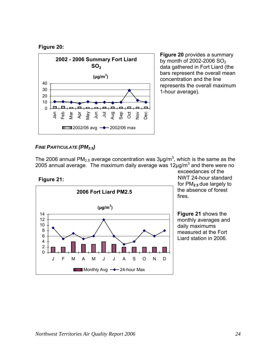<span id="page-23-0"></span>



data gathered in Fort Liard (the bars represent the overall mean concentration and the line represents the overall maximum 1-hour average). **Figure 20** provides a summary by month of 2002-2006  $SO<sub>2</sub>$ 

#### **FINE PARTICULATE (PM<sub>2.5</sub>)**

The 2006 annual PM<sub>2.5</sub> average concentration was 3µg/m<sup>3</sup>, which is the same as the 2005 annual average. The maximum daily average was 12 $\mu$ g/m<sup>3</sup> and there were no

**Figure 21:** 



NWT 24-hour standard for PM**2.5** due largely to the absence of forest fires. exceedances of the

**Figure 21** shows the monthly averages and daily maximums measured at the Fort Liard station in 2006.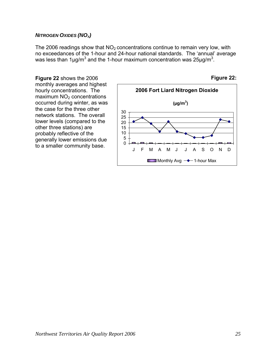#### <span id="page-24-0"></span>**NITROGEN OXIDES (NO<sub>X</sub>)**

The 2006 readings show that  $NO<sub>2</sub>$  concentrations continue to remain very low, with no exceedances of the 1-hour and 24-hour national s tandards. The 'annual' average was less than 1µg/m<sup>3</sup> and the 1-hour maximum concentration was 25µg/m<sup>3</sup>.

**Figure 22** shows the 2006 monthly averages and highest hourly concentrations. The maximum  $NO<sub>2</sub>$  concentrations occurred during winter, as was the case for the three other network stations. The overall lower levels (compared to the other three stations) are probably reflective of the generally lower emissions due to a smaller community base.



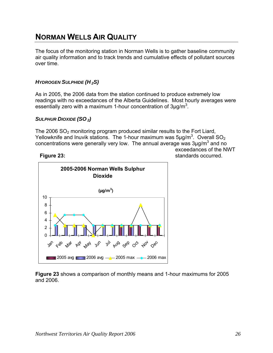### <span id="page-25-0"></span>**NORMAN WELLS AIR QUALITY**

The focus of the monitoring station in Norman Wells is to gather baseline community air quality information and to track trends and cumulative effects of pollutant sources over time.

#### *HYDROGEN SULPHIDE (H 2S)*

As in 2005, the 2006 data from the station continued to produce extremely low readings with no exceedances o f the Alberta Guidelines. Most hourly averages were essentially zero with a maximum 1-hour concentration of  $3\mu$ g/m<sup>3</sup>.

#### *SULPHUR DIOXIDE (SO 2)*

The 2006  $SO<sub>2</sub>$  monitoring program produced similar results to the Fort Liard, Yellowknife and Inuvik stations. The 1-hour maximum was  $5\mu g/m^3$ . Overall  $SO_2$ concentrations were generally very low. The annual average was  $3\mu$ g/m<sup>3</sup> and no exceedances of the NWT

standards occurred.

#### **Figure 23:**



**Figure 23** shows a comparison of monthly means and 1-hour maximums for 2005 and 2006.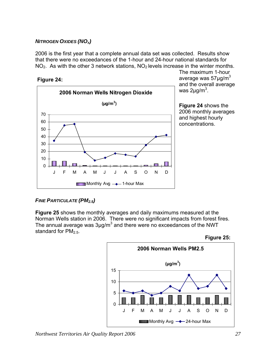#### <span id="page-26-0"></span>**NITROGEN OXIDES (NO<sub>X</sub>)**

2006 is the first year that a complete annual data set was collected. Results show that there were no exceedances of the 1-hour and 24-hour national standards for  $NO<sub>2</sub>$ . As with the other 3 network stations,  $NO<sub>2</sub>$  levels increase in the winter months.

**Figure 24:** 



The maximum 1-hour average was  $57 \mu g/m^3$ and the overall average was  $2\mu q/m^3$ .

**e 24** shows the **Figur** 2006 monthly averages and highest hourly concentrations.

#### *FINE PARTICULATE (PM2.5)*

**Figure 25** shows the monthly averages and daily maximums measured at the Norman Wells station in 2006. There were no significant impacts from forest fires. The annual average was  $3\mu$ g/m<sup>3</sup> and there were no exceedances of the NWT standard for  $PM<sub>2.5</sub>$ .



*Northwest Territories Air Quality Report 2006 27*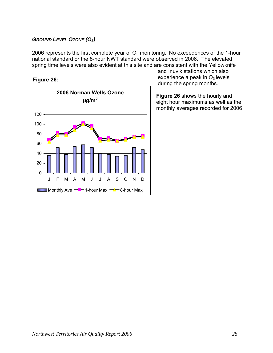#### <span id="page-27-0"></span>*G ROUND LEVEL OZONE (O3)*

2006 represents the first complete year of  $O_3$  monitoring. No exceedences of the 1-hour national standard or the 8-hour NWT standard were observed in 2006. The elevated s pring time levels were also evident at this site and are consistent with the Yellowknife

**Figure 26:** 



and Inuv ik stations which also experience a peak in  $O_3$  levels during th e spring months.

**Figure 26** shows the hourly and eight hour maximums as well as the monthly averages recorded for 2006.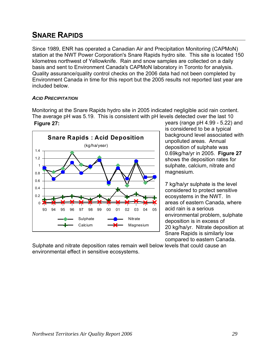### <span id="page-28-0"></span>**SNARE RAPIDS**

Since 1989, ENR has operated a Canadian Air and Precipitation Monitoring (CAPMoN) station at the NWT Power Corporation's Snare Rapids hydro site. This site is located 150 kilometres northwest of Yellowknife. Rain and snow samples are collected on a daily basis and sent to Environment Canada's CAPMoN laboratory in Toronto for analysis. Environment Canada in time for this report but the 2005 results not reported last year are Quality assurance/quality control checks on the 2006 data had not been completed by included below.

#### *ACID PRECIPITATION*

Monitoring at the Snare Rapids hydro site in 2005 in dicated negligible acid rain content. The average pH was 5.19. This is consistent with pH levels detected over the last 10 **Figure 27:** 



years (range pH 4.99 - 5.22) and is considered to be a typical background level associated with unpolluted areas. Annual deposition of sulphate was 0.69kg/ha/yr in 2005. **Figure 27** shows the deposition rates for sulphate, calcium, nitrate and magnesium.

7 kg/ha/yr sulphate is the level considered to protect sensitive ecosystems in the NWT. In areas of eastern Canada, where acid rain is a serious environmental problem, sulphate deposition is in excess of 20 kg/ha/yr. Nitrate deposition at Snare Rapids is similarly low compared to eastern Canada.

Sulphate and nitrate deposition rates remain well below levels that could cause an environmental effect in sensitive ecosystems.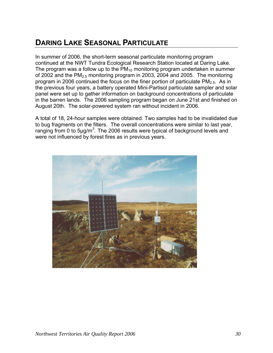### <span id="page-29-0"></span>**DARING LAKE SEASONAL PARTICULATE**

In summer of 2006, the short-term seasonal particulate monitoring program continued at the NWT Tundra Ecological Research Station located at Daring Lake. The program was a follow up to the  $PM_{10}$  monitoring program undertaken in summer of 2002 and the PM<sub>2.5</sub> monitoring program in 2003, 2004 and 2005. The monitoring program in 2006 continued the focus on the finer portion of particulate  $PM<sub>2.5</sub>$ . As in the previous four years, a battery operated Mini-Partisol particulate sampler and solar panel were set up to gather information on background concentrations of particulate in the barren lands. The 2006 sampling program began on June 21st and finished on August 20th. The solar-powered system ran without incident in 2006.

to bug fragments on the filters. The overall concentrations were similar to last year, ranging from 0 to 5 $\mu$ g/m<sup>3</sup>. The 2006 results were typical of background levels and were not influenced by forest fires as in previous years . A total of 18, 24-hour samples were obtained. Two samples had to be invalidated due

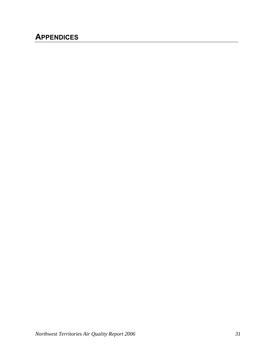### <span id="page-30-0"></span>**APPENDICES**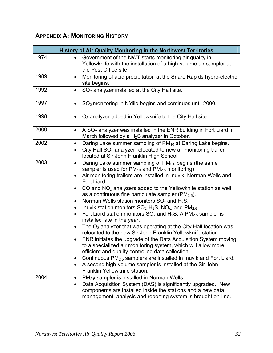### <span id="page-31-0"></span>**APPENDIX A: MONITORING HISTORY**

|      | <b>History of Air Quality Monitoring in the Northwest Territories</b>                                                                                                                                                                                                                                                                                                                                                                                                                                                                                                                                                                                                                                                                                                                                                                                                                                                                                                                                                                                                                                                                                                                                                              |
|------|------------------------------------------------------------------------------------------------------------------------------------------------------------------------------------------------------------------------------------------------------------------------------------------------------------------------------------------------------------------------------------------------------------------------------------------------------------------------------------------------------------------------------------------------------------------------------------------------------------------------------------------------------------------------------------------------------------------------------------------------------------------------------------------------------------------------------------------------------------------------------------------------------------------------------------------------------------------------------------------------------------------------------------------------------------------------------------------------------------------------------------------------------------------------------------------------------------------------------------|
| 1974 | Government of the NWT starts monitoring air quality in<br>$\bullet$<br>Yellowknife with the installation of a high-volume air sampler at<br>the Post Office site.                                                                                                                                                                                                                                                                                                                                                                                                                                                                                                                                                                                                                                                                                                                                                                                                                                                                                                                                                                                                                                                                  |
| 1989 | Monitoring of acid precipitation at the Snare Rapids hydro-electric<br>٠<br>site begins.                                                                                                                                                                                                                                                                                                                                                                                                                                                                                                                                                                                                                                                                                                                                                                                                                                                                                                                                                                                                                                                                                                                                           |
| 1992 | SO <sub>2</sub> analyzer installed at the City Hall site.<br>$\bullet$                                                                                                                                                                                                                                                                                                                                                                                                                                                                                                                                                                                                                                                                                                                                                                                                                                                                                                                                                                                                                                                                                                                                                             |
| 1997 | SO <sub>2</sub> monitoring in N'dilo begins and continues until 2000.<br>$\bullet$                                                                                                                                                                                                                                                                                                                                                                                                                                                                                                                                                                                                                                                                                                                                                                                                                                                                                                                                                                                                                                                                                                                                                 |
| 1998 | $O3$ analyzer added in Yellowknife to the City Hall site.<br>$\bullet$                                                                                                                                                                                                                                                                                                                                                                                                                                                                                                                                                                                                                                                                                                                                                                                                                                                                                                                                                                                                                                                                                                                                                             |
| 2000 | A $SO2$ analyzer was installed in the ENR building in Fort Liard in<br>$\bullet$<br>March followed by a $H_2S$ analyzer in October.                                                                                                                                                                                                                                                                                                                                                                                                                                                                                                                                                                                                                                                                                                                                                                                                                                                                                                                                                                                                                                                                                                |
| 2002 | Daring Lake summer sampling of PM <sub>10</sub> at Daring Lake begins.<br>$\bullet$<br>City Hall SO <sub>2</sub> analyzer relocated to new air monitoring trailer<br>located at Sir John Franklin High School.                                                                                                                                                                                                                                                                                                                                                                                                                                                                                                                                                                                                                                                                                                                                                                                                                                                                                                                                                                                                                     |
| 2003 | Daring Lake summer sampling of PM <sub>2.5</sub> begins (the same<br>$\bullet$<br>sampler is used for $PM_{10}$ and $PM_{2.5}$ monitoring)<br>Air monitoring trailers are installed in Inuvik, Norman Wells and<br>$\bullet$<br>Fort Liard.<br>CO and $NOx$ analyzers added to the Yellowknife station as well<br>$\bullet$<br>as a continuous fine particulate sampler ( $PM2.5$ ).<br>Norman Wells station monitors $SO_2$ and $H_2S$ .<br>$\bullet$<br>Inuvik station monitors $SO_2$ , H <sub>2</sub> S, NO <sub>x</sub> , and PM <sub>2.5</sub> .<br>$\bullet$<br>Fort Liard station monitors $SO_2$ and $H_2S$ . A PM <sub>2.5</sub> sampler is<br>installed late in the year.<br>The $O_3$ analyzer that was operating at the City Hall location was<br>$\bullet$<br>relocated to the new Sir John Franklin Yellowknife station.<br>ENR initiates the upgrade of the Data Acquisition System moving<br>to a specialized air monitoring system, which will allow more<br>efficient and quality controlled data collection.<br>Continuous $PM_{2.5}$ samplers are installed in Inuvik and Fort Liard.<br>$\bullet$<br>A second high-volume sampler is installed at the Sir John<br>$\bullet$<br>Franklin Yellowknife station. |
| 2004 | PM <sub>2.5</sub> sampler is installed in Norman Wells.<br>$\bullet$<br>Data Acquisition System (DAS) is significantly upgraded. New<br>$\bullet$<br>components are installed inside the stations and a new data<br>management, analysis and reporting system is brought on-line.                                                                                                                                                                                                                                                                                                                                                                                                                                                                                                                                                                                                                                                                                                                                                                                                                                                                                                                                                  |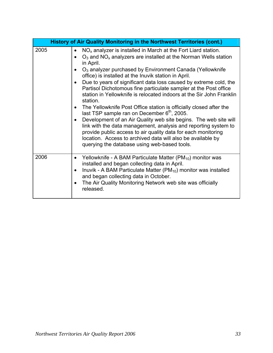|      | History of Air Quality Monitoring in the Northwest Territories (cont.)                                                                                                                                                                                                                                                                                                                                                                                                                                                                                                                                                                                                                                                                                                                                                                                                                                                                                                                                          |
|------|-----------------------------------------------------------------------------------------------------------------------------------------------------------------------------------------------------------------------------------------------------------------------------------------------------------------------------------------------------------------------------------------------------------------------------------------------------------------------------------------------------------------------------------------------------------------------------------------------------------------------------------------------------------------------------------------------------------------------------------------------------------------------------------------------------------------------------------------------------------------------------------------------------------------------------------------------------------------------------------------------------------------|
| 2005 | $NOx$ analyzer is installed in March at the Fort Liard station.<br>$O_3$ and NO <sub>x</sub> analyzers are installed at the Norman Wells station<br>in April.<br>$O3$ analyzer purchased by Environment Canada (Yellowknife<br>office) is installed at the Inuvik station in April.<br>Due to years of significant data loss caused by extreme cold, the<br>$\bullet$<br>Partisol Dichotomous fine particulate sampler at the Post office<br>station in Yellowknife is relocated indoors at the Sir John Franklin<br>station.<br>The Yellowknife Post Office station is officially closed after the<br>$\bullet$<br>last TSP sample ran on December 6 <sup>th</sup> , 2005.<br>Development of an Air Quality web site begins. The web site will<br>$\bullet$<br>link with the data management, analysis and reporting system to<br>provide public access to air quality data for each monitoring<br>location. Access to archived data will also be available by<br>querying the database using web-based tools. |
| 2006 | Yellowknife - A BAM Particulate Matter (PM <sub>10</sub> ) monitor was<br>$\bullet$<br>installed and began collecting data in April.<br>Inuvik - A BAM Particulate Matter ( $PM_{10}$ ) monitor was installed<br>$\bullet$<br>and began collecting data in October.<br>The Air Quality Monitoring Network web site was officially<br>$\bullet$<br>released.                                                                                                                                                                                                                                                                                                                                                                                                                                                                                                                                                                                                                                                     |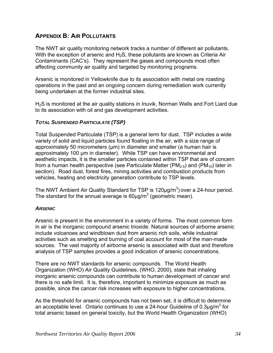#### <span id="page-33-0"></span>**APPENDIX B: AIR POLLUTANTS**

The NWT air quality monitoring network tracks a number of different air pollutants. With the exception of arsenic and  $H_2S$ , these pollutants are known as Criteria Air Contaminants (CAC's). They repres ent the gases and compounds most often affecting community air quality and targeted by monitoring programs.

Arsenic is monit ored in Yellowknife due to its association with metal ore roasting operations in the past and an ongoing concern during remediation work currently being undertaken at the former industrial sites.

 $H<sub>2</sub>S$  is monitored at the air quality stations in Inuvik, Norman Wells and Fort Liard due to its association with oil and gas development activities.

#### *TOTAL SUSPENDED P ARTICULATE (TSP)*

Total Suspended Particulate (TSP) is a general term for dust. TSP includes a wide variety of solid and liquid particles found floating in the air, with a size range of approximately 50 micrometers ( $\mu$ m) in diameter and smaller (a human hair is aesthetic impacts, it is the smaller particles contained within TSP that are of concern from a human health perspective (see Particulate Matter (PM<sub>2.5</sub>) and (PM<sub>10</sub>) later in section). Road dust, forest fires, mining activities and combustion products from vehicles, heating and electricity generation contribute to TSP levels. approximately 100 µm in diameter). While TSP can have environmental and

The NWT Ambient Air Quality Standard for TSP is  $120 \mu g/m<sup>3</sup>$ ) over a 24-hour period. The standard for the annual average is  $60 \mu g/m^3$  (geometric mean).

#### *ARSENIC*

Arsenic is present in the environment in a variety of forms. The most common form in air is the inorganic compound arsenic trioxide. Natural sources of airborne arsenic include volcanoes and windblown dust from arsenic rich soils, while industrial activities such as smelting and burning of coal account for most of the man-made sources. The vast majority of airborne arsenic is associated with dust and therefore analysis of TSP samples provides a good indication of arsenic concentrations.

There are no NWT standards for arsenic compounds. The World Health Organization (WHO) Air Quality Guidelines, (WHO, 2000), state that inhaling inorganic arsenic compounds can contribute to human development of cancer and there is no safe limit. It is, therefore, important to minimize exposure as much as possible, since the cancer risk increases with exposure to higher concentrations.

As the threshold for arsenic compounds has not been set, it is difficult to determine an acceptable level. Ontario continues to use a 24-hour Guideline of 0.3 $\mu$ g/m<sup>3</sup> for total arsenic based on general toxicity, but the World Health Organization (WHO)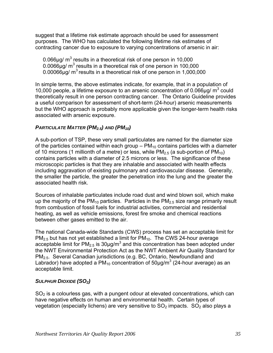<span id="page-34-0"></span>suggest that a lifetime risk estimate approach should be used for assessment purposes. The WHO has calculated the following lifetime risk estimates of contracting cancer due to exposure to varying concentrations of arsenic in air:

0.00066 $\mu$ g/ m<sup>3</sup> results in a theoretical risk of one person in 1,000,000 0.066 $\mu$ g/ m<sup>3</sup> results in a theoretical risk of one person in 10,000  $0.0066\mu$ g/ m<sup>3</sup> results in a theoretical risk of one person in 100,000

10,000 people, a lifetime exposure to an arsenic concentration of 0.066 $\mu$ g/ m<sup>3</sup> could theoretically result in one person contracting cancer. The Ontario Guideline provides but the WHO approach is probably more applicable given the longer-term health risks associated with arsenic exposure. In simple terms, the above estimates indicate, for example, that in a population of a useful comparison for assessment of short-term (24-hour) arsenic measurements

#### PARTICULATE MATTER (PM<sub>2.5</sub>) AND (PM<sub>10</sub>)

A sub-portion of TSP, these very small particulates are named for the diameter size of the particles contained within each group –  $PM_{10}$  contains particles with a diameter of 10 microns (1 millionth of a metre) or less, while  $PM_{2.5}$  (a sub-portion of  $PM_{10}$ ) including aggravation of existing pulmonary and cardiovascular disease. Generally, the smaller the particle, the greater the penetration into the lung and the greater the associated health risk. contains particles with a diameter of 2.5 microns or less. The significance of these microscopic particles is that they are inhalable and associated with health effects

Sources of inhalable particulates include road dust and wind blown soil, which make up the majority of the PM<sub>10</sub> particles. Particles in the PM<sub>2.5</sub> size range primarily result from combustion of fossil fuels for industrial activities, commercial and residential heating, as well as vehicle emissions, forest fire smoke and chemical reactions between other gases emitted to the air.

The national Canada-wide Standards (CWS) process has set an acceptable limit for the NWT Environmental Protection Act as the NWT Ambient Air Quality Standard for PM<sub>2.5</sub>. Several Canadian jurisdictions (e.g. BC, Ontario, Newfoundland and Labrador) have adopted a PM<sub>10</sub> concentration of 50µg/m<sup>3</sup> (24-hour average) as an  $PM_{2.5}$  but has not yet established a limit for  $PM_{10}$ . The CWS 24-hour average acceptable limit for PM<sub>2.5</sub> is 30µg/m<sup>3</sup> and this concentration has been adopted under acceptable limit.

#### *SULPHUR DIOXIDE (SO2)*

 $SO<sub>2</sub>$  is a colourless gas, with a pungent odour at elevated concentrations, which can have negative effects on human and environmental health. Certain types of vegetation (especially lichens) are very sensitive to  $SO_2$  impacts.  $SO_2$  also plays a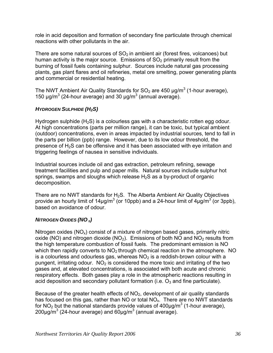<span id="page-35-0"></span>role in acid deposition and formation of secondary fine particulate through chem ical reactions with other pollutants in the air.

There are some natural sources of  $SO_2$  in ambient air (forest fires, volcanoes) but human activity is the major source. Emissions of  $SO<sub>2</sub>$  primarily result from the burning of fossil fuels containing sulphur. Sources include natural gas processing plants, gas plant flares and oil refineries, metal ore smelting, power generating plants and commercial or residential heating.

The NWT Ambient Air Quality Standards for SO<sub>2</sub> are 450  $\mu$ g/m<sup>3</sup> (1-hour average), 150  $\mu$ g/m<sup>3</sup> (24-hour average) and 30  $\mu$ g/m<sup>3</sup> (annual average).

#### *HYDROGEN SULPHIDE (H2S)*

Hydrogen sulphide  $(H<sub>2</sub>S)$  is a colourless gas with a characteristic rotten egg odour. At high concentrations (parts per million range), it can be toxic, but typical ambient (outdoor) concentrations, even in areas impacted by industrial sources, tend to fall in the parts per billion (ppb) range. However, due to its low odour threshold, the presence of H2S can be offensive and it has been associated with eye irritation and triggering feelings of nausea in sensitive individuals.

Industrial sources include oil and gas extraction, petroleum refining, sewage treatment facilities and pulp and paper mills. Natural sources include sulphur hot springs, swamps and sloughs which release  $H_2S$  as a by-product of organic decomposition.

There are no NWT standards for  $H_2S$ . The Alberta Ambient Air Quality Objectives provide an hourly limit of 14µg/m<sup>3</sup> (or 10ppb) and a 24-hour limit of 4µg/m<sup>3</sup> (or 3ppb), based on avoidance of odour.

#### *NITROGEN OXIDES (NO X)*

oxide (NO) and nitrogen dioxide (NO<sub>2</sub>). Emissions of both NO and NO<sub>2</sub> results from is a colourless and odourless gas, whereas  $NO<sub>2</sub>$  is a reddish-brown colour with a gases and, at elevated concentrations, is associated with both acute and chronic respiratory effects. Both gases play a role in the atmospheric reactions resulting in acid deposition and secondary pollutant formation (i.e.  $O_3$  and fine particulate). Nitrogen oxides  $(NO_x)$  consist of a mixture of nitrogen based gases, primarily nitric the high temperature combustion of fossil fuels. The predominant emission is NO which then rapidly converts to  $NO<sub>2</sub>$  through chemical reaction in the atmosphere. NO pungent, irritating odour.  $NO<sub>2</sub>$  is considered the more toxic and irritating of the two

has focused on this gas, rather than NO or total  $NO<sub>x</sub>$ . There are no NWT standards 200μg/m<sup>3</sup> (24-hour average) and 60μg/m<sup>3</sup> (annual average). Because of the greater health effects of  $NO<sub>2</sub>$ , development of air quality standards for NO<sub>2</sub> but the national standards provide values of 400µg/m<sup>3</sup> (1-hour average),  $300 \mu s/m^3$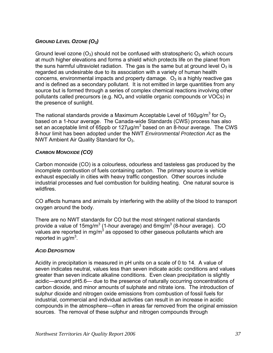#### <span id="page-36-0"></span>*GROUND LEVEL OZONE (O3)*

Ground level ozone  $(O_3)$  should not be confused with stratospheric  $O_3$  which occurs at much higher elevations and forms a shield which protects life on the planet fr om the suns harmful ultraviolet radiation. The gas is the same but at ground level  $\mathrm{O}_3$  is concerns, environmental impacts and property damage.  $O_3$  is a highly reactive gas and is defined as a secondary pollutant. It is not emitted in large quantities from any source but is formed through a series of complex chemical reactions involving other pollutants called precursors (e.g.  $NO_x$  and volatile organic compounds or VOCs) in the presence of sunlight. regarded as undesirable due to its association with a variety of human health

The national standards provide a Maximum Acceptable Level of 160µg/m $^3$  for O $_3$ set an acceptable limit of 65ppb or 127 $\mu$ g/m<sup>3</sup> based on an 8-hour average. The CWS based on a 1-hour average. The Canada-wide Standards (CWS) process has also 8-hour limit has been adopted under the NWT *Environmental Protection Act* as the NWT Ambient Air Quality Standard for  $O<sub>3</sub>$ .

#### *CARBON MONOXIDE (CO)*

Carbon monoxide (CO) is a colourless, odourless and tasteless gas produced by the exhaust especially in cities with heavy traffic congestion. Other sources include industrial processes and fuel combustion for building heating. One natural source is wildfires. incomplete combustion of fuels containing carbon. The primary source is vehicle

CO affects humans and animals by interfering with the ability of the blood to transport oxygen around the body.

There are no NWT standards for CO but the most stringent national standards provide a value of 15mg/m<sup>3</sup> (1-hour average) and 6mg/m<sup>3</sup> (8-hour average). CO values are reported in mg/m<sup>3</sup> as opposed to other gaseous pollutants which are reported in  $\mu$ g/m<sup>3</sup>.

#### *ACID DEPOSITION*

seven indicates neutral, values less than seven indicate acidic conditions and values acidic—around pH5.6— due to the presence of naturally occurring concentrations of carbon dioxide, and minor amounts of sulphate and nitrate ions. The introduction of compounds in the atmosphere—often in areas far removed from the original emission sources. The removal of these sulphur and nitrogen compounds through Acidity in precipitation is measured in pH units on a scale of 0 to 14. A value of greater than seven indicate alkaline conditions. Even clean precipitation is slightly sulphur dioxide and nitrogen oxide emissions from combustion of fossil fuels for industrial, commercial and individual activities can result in an increase in acidic